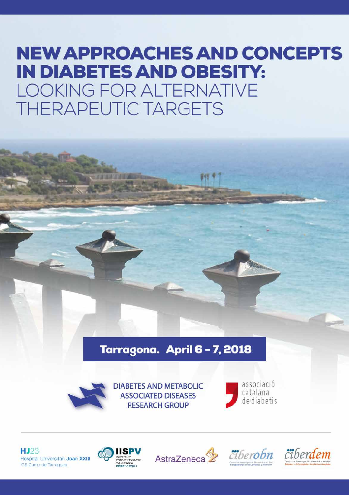# **NEW APPROACHES AND CONCEPTS IN DIABETES AND OBESITY: LOOKING FOR ALTERNATIVE THERAPEUTIC TARGETS**

## Tarragona. April 6 - 7, 2018



**DIABETES AND METABOLIC ASSOCIATED DISEASES RESEARCH GROUP** 



HJ23 Hospital Universitari Joan XXIII ICS Camp de Tarragona







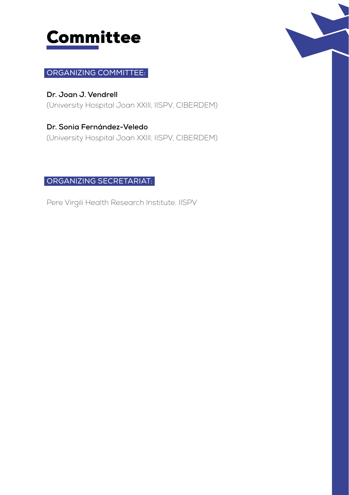

## ORGANIZING COMMITTEE:

**Dr. Joan J. Vendrell**  (University Hospital Joan XXIII, IISPV, CIBERDEM)

**Dr. Sonia Fernández-Veledo**  (University Hospital Joan XXIII, IISPV, CIBERDEM)

#### ORGANIZING SECRETARIAT:

Pere Virgili Health Research Institute. IISPV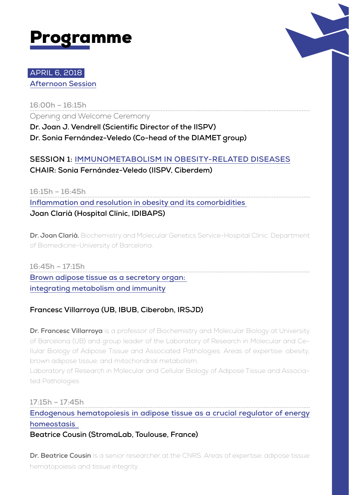



## APRIL 6, 2018 **Afternoon Session**

**16:00h – 16:15h** Opening and Welcome Ceremony

**Dr. Joan J. Vendrell (Scientific Director of the IISPV) Dr. Sonia Fernández-Veledo (Co-head of the DIAMET group)**

**SESSION 1: IMMUNOMETABOLISM IN OBESITY-RELATED DISEASES CHAIR: Sonia Fernández-Veledo (IISPV, Ciberdem)**

**16:15h – 16:45h Inflammation and resolution in obesity and its comorbidities Joan Clarià (Hospital Clínic, IDIBAPS)**

**Dr. Joan Clarià.** Biochemistry and Molecular Genetics Service-Hospital Clínic. Department of Biomedicine-University of Barcelona.

**16:45h – 17:15h Brown adipose tissue as a secretory organ: integrating metabolism and immunity**

### **Francesc Villarroya (UB, IBUB, Ciberobn, IRSJD)**

**Dr. Francesc Villarroya** is a professor of Biochemistry and Molecular Biology at University of Barcelona (UB) and group leader of the Laboratory of Research in Molecular and Cellular Biology of Adipose Tissue and Associated Pathologies. Areas of expertise: obesity, brown adipose tissue, and mitochondrial metabolism.

Laboratory of Research in Molecular and Cellular Biology of Adipose Tissue and Associated Pathologies

**17:15h – 17:45h**

**Endogenous hematopoiesis in adipose tissue as a crucial regulator of energy homeostasis** 

**Beatrice Cousin (StromaLab, Toulouse, France)**

**Dr. Beatrice Cousin** is a senior researcher at the CNRS. Areas of expertise: adipose tissue hematopoiesis and tissue integrity.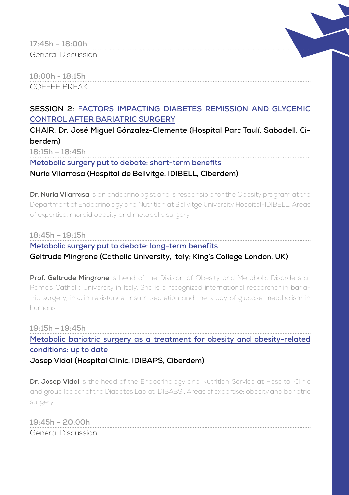| 17:45h - 18:00h    | <b></b> |  |
|--------------------|---------|--|
| General Discussion |         |  |

**18:00h - 18:15h** COFFEE BREAK

## **SESSION 2: FACTORS IMPACTING DIABETES REMISSION AND GLYCEMIC CONTROL AFTER BARIATRIC SURGERY**

**CHAIR: Dr. José Miguel Gónzalez-Clemente (Hospital Parc Taulí. Sabadell. Ciberdem)**

**18:15h – 18:45h**

**Metabolic surgery put to debate: short-term benefits**

**Nuria Vilarrasa (Hospital de Bellvitge, IDIBELL, Ciberdem)**

**Dr. Nuria Vilarrasa** is an endocrinologist and is responsible for the Obesity program at the Department of Endocrinology and Nutrition at Bellvitge University Hospital-IDIBELL. Areas of expertise: morbid obesity and metabolic surgery.

**18:45h – 19:15h Metabolic surgery put to debate: long-term benefits**

**Geltrude Mingrone (Catholic University, Italy; King's College London, UK)**

**Prof. Geltrude Mingrone** is head of the Division of Obesity and Metabolic Disorders at Rome's Catholic University in Italy. She is a recognized international researcher in bariatric surgery, insulin resistance, insulin secretion and the study of glucose metabolism in humans.

**19:15h – 19:45h Metabolic bariatric surgery as a treatment for obesity and obesity-related conditions: up to date Josep Vidal (Hospital Clínic, IDIBAPS, Ciberdem)**

**Dr. Josep Vidal** is the head of the Endocrinology and Nutrition Service at Hospital Clínic and group leader of the Diabetes Lab at IDIBABS . Areas of expertise: obesity and bariatric surgery.

**19:45h – 20:00h** General Discussion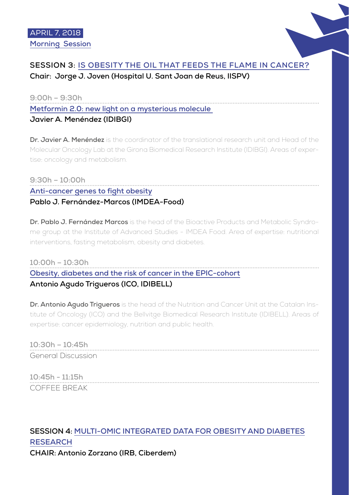

## **SESSION 3: IS OBESITY THE OIL THAT FEEDS THE FLAME IN CANCER? Chair: Jorge J. Joven (Hospital U. Sant Joan de Reus, IISPV)**

**9:00h – 9:30h Metformin 2.0: new light on a mysterious molecule** 

## **Javier A. Menéndez (IDIBGI)**

**Dr. Javier A. Menéndez** is the coordinator of the translational research unit and Head of the Molecular Oncology Lab at the Girona Biomedical Research Institute (IDIBGI). Areas of expertise: oncology and metabolism.

### **9:30h – 10:00h Anti-cancer genes to fight obesity Pablo J. Fernández-Marcos (IMDEA-Food)**

**Dr. Pablo J. Fernández Marcos** is the head of the Bioactive Products and Metabolic Syndrome group at the Institute of Advanced Studies - IMDEA Food. Area of expertise: nutritional interventions, fasting metabolism, obesity and diabetes.

## **10:00h – 10:30h Obesity, diabetes and the risk of cancer in the EPIC-cohort Antonio Agudo Trigueros (ICO, IDIBELL)**

**Dr. Antonio Agudo Trigueros** is the head of the Nutrition and Cancer Unit at the Catalan Institute of Oncology (ICO) and the Bellvitge Biomedical Research Institute (IDIBELL). Areas of expertise: cancer epidemiology, nutrition and public health.

**10:30h – 10:45h** General Discussion

**10:45h - 11:15h** COFFEE BREAK

## **SESSION 4: MULTI-OMIC INTEGRATED DATA FOR OBESITY AND DIABETES RESEARCH CHAIR: Antonio Zorzano (IRB, Ciberdem)**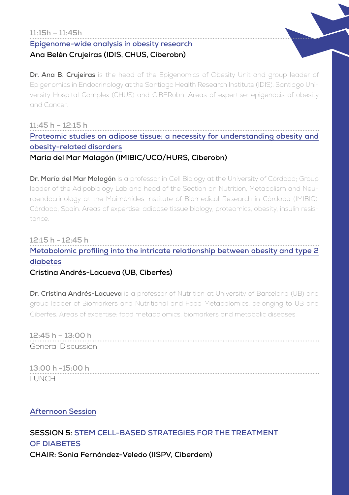#### **11:15h – 11:45h**

**Epigenome-wide analysis in obesity research**

#### **Ana Belén Crujeiras (IDIS, CHUS, Ciberobn)**

**Dr. Ana B. Crujeiras** is the head of the Epigenomics of Obesity Unit and group leader of Epigenomics in Endocrinology at the Santiago Health Research Institute (IDIS), Santiago University Hospital Complex (CHUS) and CIBERobn. Areas of expertise: epigenocis of obesity and Cancer.

**11:45 h – 12:15 h Proteomic studies on adipose tissue: a necessity for understanding obesity and obesity-related disorders María del Mar Malagón (IMIBIC/UCO/HURS, Ciberobn)**

**Dr. María del Mar Malagón** is a professor in Cell Biology at the University of Córdoba; Group leader of the Adipobiology Lab and head of the Section on Nutrition, Metabolism and Neuroendocrinology at the Maimónides Institute of Biomedical Research in Córdoba (IMIBIC), Córdoba, Spain. Areas of expertise: adipose tissue biology, proteomics, obesity, insulin resistance.

## **12:15 h - 12:45 h Metabolomic profiling into the intricate relationship between obesity and type 2 diabetes**

#### **Cristina Andrés-Lacueva (UB, Ciberfes)**

**Dr. Cristina Andrés-Lacueva** is a professor of Nutrition at University of Barcelona (UB) and group leader of Biomarkers and Nutritional and Food Metabolomics, belonging to UB and Ciberfes. Areas of expertise: food metabolomics, biomarkers and metabolic diseases.

**12:45 h – 13:00 h** General Discussion

**13:00 h -15:00 h LUNCH** 

#### **Afternoon Session**

## **SESSION 5: STEM CELL-BASED STRATEGIES FOR THE TREATMENT OF DIABETES CHAIR: Sonia Fernández-Veledo (IISPV, Ciberdem)**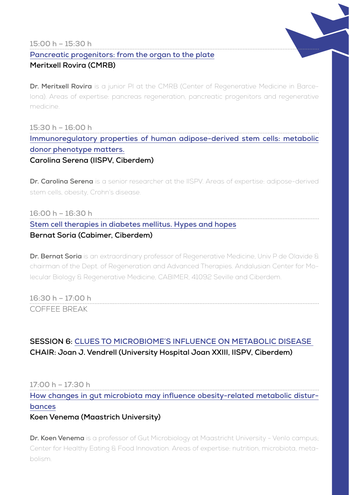#### **15:00 h – 15:30 h**

#### **Pancreatic progenitors: from the organ to the plate**

#### **Meritxell Rovira (CMRB)**

**Dr. Meritxell Rovira** is a junior PI at the CMRB (Center of Regenerative Medicine in Barcelona). Areas of expertise: pancreas regeneration, pancreatic progenitors and regenerative medicine.

**15:30 h – 16:00 h Immunoregulatory properties of human adipose-derived stem cells: metabolic donor phenotype matters. Carolina Serena (IISPV, Ciberdem)**

**Dr. Carolina Serena** is a senior researcher at the IISPV. Areas of expertise: adipose-derived stem cells, obesity, Crohn's disease.

#### **16:00 h – 16:30 h**

## **Stem cell therapies in diabetes mellitus. Hypes and hopes**

#### **Bernat Soria (Cabimer, Ciberdem)**

**Dr. Bernat Soria** is an extraordinary professor of Regenerative Medicine, Univ P de Olavide & chairman of the Dept. of Regeneration and Advanced Therapies. Andalusian Center for Molecular Biology & Regenerative Medicine, CABIMER, 41092 Seville and Ciberdem.

**16:30 h – 17:00 h** COFFEE BREAK

## **SESSION 6: CLUES TO MICROBIOME´S INFLUENCE ON METABOLIC DISEASE CHAIR: Joan J. Vendrell (University Hospital Joan XXIII, IISPV, Ciberdem)**

#### **17:00 h – 17:30 h**

**How changes in gut microbiota may influence obesity-related metabolic disturbances**

#### **Koen Venema (Maastrich University)**

**Dr. Koen Venema** is a professor of Gut Microbiology at Maastricht University - Venlo campus; Center for Healthy Eating & Food Innovation. Areas of expertise: nutrition, microbiota, metabolism.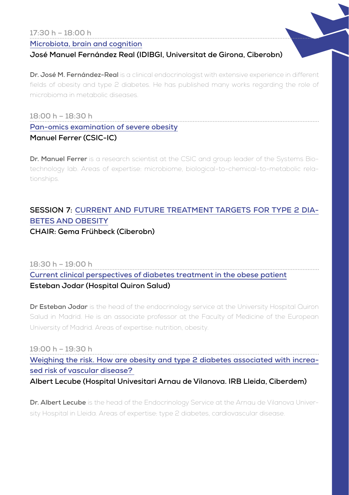## **17:30 h – 18:00 h**

#### **Microbiota, brain and cognition**

#### **José Manuel Fernández Real (IDIBGI, Universitat de Girona, Ciberobn)**

**Dr. José M. Fernández-Real** is a clinical endocrinologist with extensive experience in different fields of obesity and type 2 diabetes. He has published many works regarding the role of microbioma in metabolic diseases.

## **18:00 h – 18:30 h Pan-omics examination of severe obesity**

#### **Manuel Ferrer (CSIC-IC)**

**Dr. Manuel Ferrer** is a research scientist at the CSIC and group leader of the Systems Biotechnology lab. Areas of expertise: microbiome, biological-to-chemical-to-metabolic relationships.

## **SESSION 7: CURRENT AND FUTURE TREATMENT TARGETS FOR TYPE 2 DIA-BETES AND OBESITY**

#### **CHAIR: Gema Frühbeck (Ciberobn)**

## **18:30 h – 19:00 h Current clinical perspectives of diabetes treatment in the obese patient Esteban Jodar (Hospital Quiron Salud)**

**Dr Esteban Jodar** is the head of the endocrinology service at the University Hospital Quiron Salud in Madrid. He is an associate professor at the Faculty of Medicine of the European University of Madrid. Areas of expertise: nutrition, obesity.

**19:00 h – 19:30 h**

**Weighing the risk. How are obesity and type 2 diabetes associated with increased risk of vascular disease?** 

**Albert Lecube (Hospital Univesitari Arnau de Vilanova. IRB Lleida, Ciberdem)** 

**Dr. Albert Lecube** is the head of the Endocrinology Service at the Arnau de Vilanova University Hospital in Lleida. Areas of expertise: type 2 diabetes, cardiovascular disease.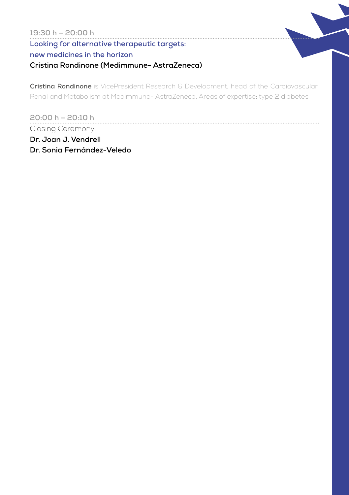#### **19:30 h – 20:00 h**

**Looking for alternative therapeutic targets:** 

#### **new medicines in the horizon**

## **Cristina Rondinone (Medimmune- AstraZeneca)**

**Cristina Rondinone** is VicePresident Research & Development, head of the Cardiovascular, Renal and Metabolism at Medimmune- AstraZeneca. Areas of expertise: type 2 diabetes

**20:00 h – 20:10 h** Closing Ceremony

**Dr. Joan J. Vendrell Dr. Sonia Fernández-Veledo**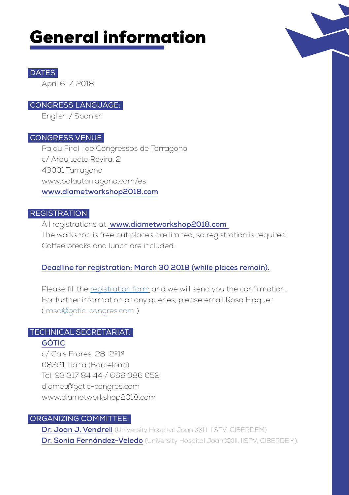# General information



#### **DATES**

April 6-7, 2018

#### CONGRESS LANGUAGE:

English / Spanish

#### CONGRESS VENUE

Palau Firal i de Congressos de Tarragona c/ Arquitecte Rovira, 2 43001 Tarragona www.palautarragona.com/es **www.diametworkshop2018.com**

#### **REGISTRATION**

All registrations at **www.diametworkshop2018.com**  The workshop is free but places are limited, so registration is required. Coffee breaks and lunch are included.

### **Deadline for registration: March 30 2018 (while places remain).**

Please fill the registration form and we will send you the confirmation. For further information or any queries, please email Rosa Flaquer ( rosa@gotic-congres.com )

# TECHNICAL SECRETARIAT:

#### **GÒTIC**

c/ Cals Frares, 28 2º1ª 08391 Tiana (Barcelona) Tel. 93 317 84 44 / 666 086 052 diamet@gotic-congres.com www.diametworkshop2018.com

#### ORGANIZING COMMITTEE:

**Dr. Joan J. Vendrell** (University Hospital Joan XXIII, IISPV, CIBERDEM) **Dr. Sonia Fernández-Veledo** (University Hospital Joan XXIII, IISPV, CIBERDEM).